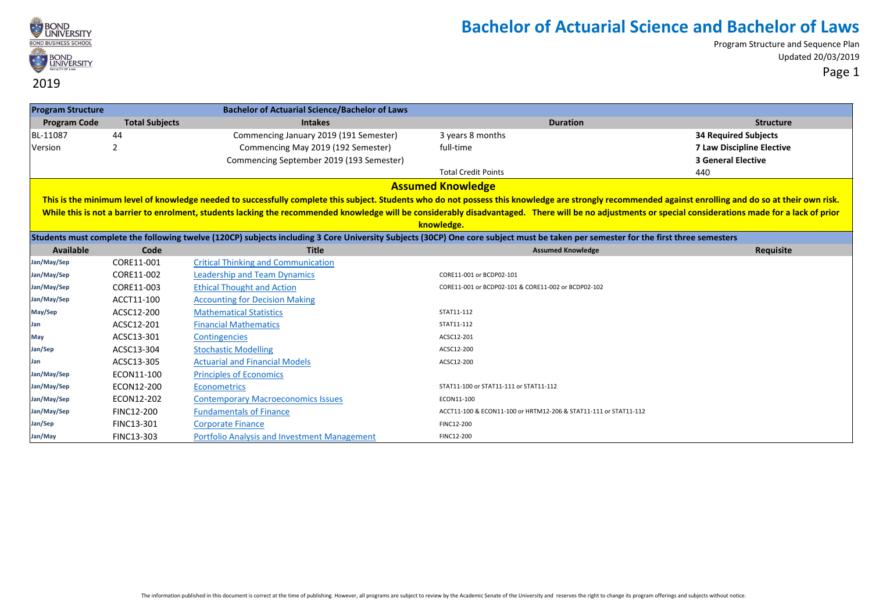

Program Structure and Sequence Plan Updated 20/03/2019 Page 1

#### **Program Structure Bachelor of Actuarial Science/Bachelor of Laws Program Code Total Subjects Intakes Duration Structure** BL-11087 44 Commencing January 2019 (191 Semester) 3 years 8 months **34 Required Subjects** Version 2 Commencing May 2019 (192 Semester) full-time **7 Law Discipline Elective** Commencing September 2019 (193 Semester) **3 General Elective** Total Credit Points 440 **Students must complete the following twelve (120CP) subjects including 3 Core University Subjects (30CP) One core subject must be taken per semester for the first three semesters Available Code Title Assumed Knowledge Requisite Jan/May/Sep** CORE11-001 [Critical Thinking and Communication](https://bond.edu.au/subject/core11-001-critical-thinking-and-communication) **Jan/May/Sep** CORE11-002 [Leadership and Team Dynamics](https://bond.edu.au/subject/core11-002-leadership-and-team-dynamics) CORE11-001 or BCDP02-101 **Jan/May/Sep CORE11-003** [Ethical Thought and Action](https://bond.edu.au/subject/core11-003-ethical-thought-and-action) Coreal Coreal Cores Cores Cores Cores Cores Cores Cores Cores Cores Cores Cores Cores Cores Cores Cores Cores Cores Cores Cores Cores Cores Cores Cores Cores Cores Core **Jan/May/Sep** ACCT11-100 [Accounting for Decision Making](https://bond.edu.au/subject/acct11-100-introduction-accounting) May/Sep **ACSC12-200** [Mathematical Statistics](https://bond.edu.au/subject/acsc12-200-mathematical-statistics) **Mathematical Statistics** STAT11-112 **Jan ACSC12-201** [Financial Mathematics](https://bond.edu.au/subject/acsc12-201-financial-mathematics) **STAT11-112 May** ACSC13-301 Contingencies ACSC12-201 **Jan/Sep** ACSC13-304 [Stochastic Modelling](https://bond.edu.au/subject/acsc13-304-stochastic-modelling) ACSC12-200 **Jan ACSC13-305** [Actuarial and Financial Models](https://bond.edu.au/subject/acsc13-305-actuarial-and-financial-models) **ACSC12-200 ACSC12-200** Jan/May/Sep **ECON11-100** [Principles of Economics](https://bond.edu.au/subject/econ11-100-principles-economics) **Jan/May/Sep ECON12-200** [Econometrics](https://bond.edu.au/subject/econ12-200-econometrics) **Example 1** and May/Sep STAT11-111 or STAT11-112 **Jan/May/Sep** ECON12-202 [Contemporary Macroeconomics Issues](https://bond.edu.au/subject/econ12-202-contemporary-macroeconomics-issues) ECON11-100 **Jan/May/Sep** FINC12-200 [Fundamentals of Finance](https://bond.edu.au/subject/finc12-200-fundamentals-finance) ACCT11-100 & ECON11-100 or HRTM12-206 & STAT11-111 or STAT11-112 Jan/Sep **FINC13-301** [Corporate Finance](https://bond.edu.au/subject/finc13-301-corporate-finance) **Community** FINC12-200 **Jan/May** FINC13-303 [Portfolio Analysis and Investment Management](https://bond.edu.au/subject/finc13-303-portfolio-analysis-and-investment-management) FINC12-200 **Assumed Knowledge** This is the minimum level of knowledge needed to successfully complete this subject. Students who do not possess this knowledge are strongly recommended against enrolling and do so at their own risk. While this is not a barrier to enrolment, students lacking the recommended knowledge will be considerably disadvantaged. There will be no adjustments or special considerations made for a lack of prior **knowledge.**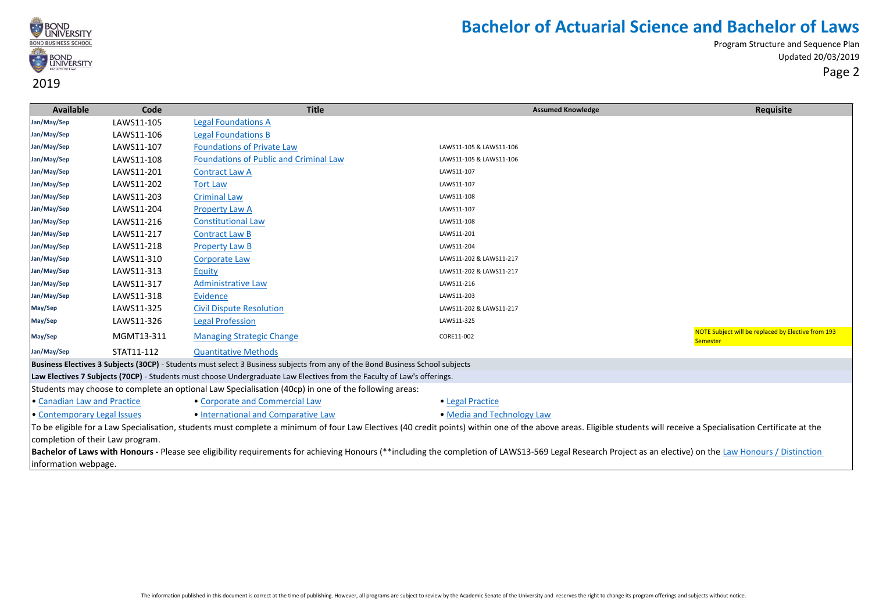

Program Structure and Sequence Plan Updated 20/03/2019 Page 2

**Available Code Title Assumed Knowledge Requisite Jan/May/Sep** LAWS11-105 [Legal Foundations A](https://bond.edu.au/subject/laws11-105-legal-foundations) **Jan/May/Sep** LAWS11-106 [Legal Foundations B](https://bond.edu.au/subject/laws11-106-legal-foundations-b) **Jan/May/Sep** LAWS11-107 [Foundations of Private Law](https://bond.edu.au/subject/laws11-107-foundations-private-law) LAWS11-105 & LAWS11-106 **Jan/May/Sep** LAWS11-108 [Foundations of Public and Criminal Law](https://bond.edu.au/subject/laws11-108-foundations-public-and-criminal-law) LAWS11-105 & LAWS11-106 **Jan/May/Sep** LAWS11-201 [Contract Law A](https://bond.edu.au/subject/laws11-201-contract-law) LAWS11-107 **Jan/May/Sep** LAWS11-202 [Tort Law](https://bond.edu.au/subject/laws11-202-tort-law) LAWS11-107 **Jan/May/Sep** LAWS11-203 [Criminal Law](https://bond.edu.au/subject/laws11-203-criminal-law) LAWS11-108 **Jan/May/Sep** LAWS11-204 [Property Law A](https://bond.edu.au/subject/laws11-204-property-law) LAWS11-107 **Jan/May/Sep** LAWS11-216 [Constitutional Law](https://bond.edu.au/subject/laws11-216-constitutional-law) LAWS11-108 **Jan/May/Sep** LAWS11-217 [Contract Law B](https://bond.edu.au/subject/laws11-217-contract-law-b) LAWS11-201 **Jan/May/Sep** LAWS11-218 [Property Law B](https://bond.edu.au/subject/laws11-218-property-law-b) LAWS11-204 **Jan/May/Sep** LAWS11-310 [Corporate Law](https://bond.edu.au/subject/laws11-310-corporate-law) LAWS11-202 & LAWS11-217 **Jan/May/Sep** LAWS11-313 [Equity](https://bond.edu.au/subject/laws11-313-equity) LAWS11-202 & LAWS11-217 **Jan/May/Sep** LAWS11-317 [Administrative Law](https://bond.edu.au/subject/laws11-317-administrative-law) LAWS11-216 **Jan/May/Sep** LAWS11-318 [Evidence](https://bond.edu.au/subject/laws11-318-evidence) LAWS11-203 **May/Sep** LAWS11-325 [Civil Dispute Resolution](https://bond.edu.au/subject/laws11-325-civil-dispute-resolution) LAWS11-202 & LAWS11-217 **May/Sep** LAWS11-326 [Legal Profession](https://bond.edu.au/subject/laws11-326-legal-profession) LAWS11-325 **May/Sep CORE11-002** MGMT13-311 [Managing Strategic Change](https://bond.edu.au/subject/mgmt13-311-managing-strategic-change) CORENATION CORE11-002 NOTE Subject will be replaced by Elective from 193 **Semester Jan/May/Sep** STAT11-112 [Quantitative Methods](https://bond.edu.au/subject/stat11-112-quantitative-methods) **Business Electives 3 Subjects (30CP)** - Students must select 3 Business subjects from any of the Bond Business School subjects **Law Electives 7 Subjects (70CP)** - Students must choose Undergraduate Law Electives from the Faculty of Law's offerings. Students may choose to complete an optional Law Specialisation (40cp) in one of the following areas: [•](http://bond.edu.au/subjects/current-law-specialisations-undergraduate) [Canadian Law and Practice](http://bond.edu.au/subjects/current-law-specialisations-undergraduate) • [Corporate and Commercial Law](http://bond.edu.au/subjects/current-law-specialisations-undergraduate) [•](http://bond.edu.au/subjects/current-law-specialisations-undergraduate) [Legal Practice](http://bond.edu.au/subjects/current-law-specialisations-undergraduate) • Legal Practice [•](http://bond.edu.au/subjects/current-law-specialisations-undergraduate) [Contemporary Legal Issues](http://bond.edu.au/subjects/current-law-specialisations-undergraduate) • [International and Comparative Law](http://bond.edu.au/subjects/current-law-specialisations-undergraduate) • • [Media and Technology Law](http://bond.edu.au/subjects/current-law-specialisations-undergraduate) To be eligible for a Law Specialisation, students must complete a minimum of four Law Electives (40 credit points) within one of the above areas. Eligible students will receive a Specialisation Certificate at the completion of their Law program.

**Bachelor of Laws with Honours** - [Please see eligibility requirements for achieving Honours \(\\*\\*including the completion of LAWS13-569 Legal Research Project as an elective\) on the L](https://bond.edu.au/law-honours-distinction-information)aw Honours / Distinction [information webpage](https://bond.edu.au/law-honours-distinction-information).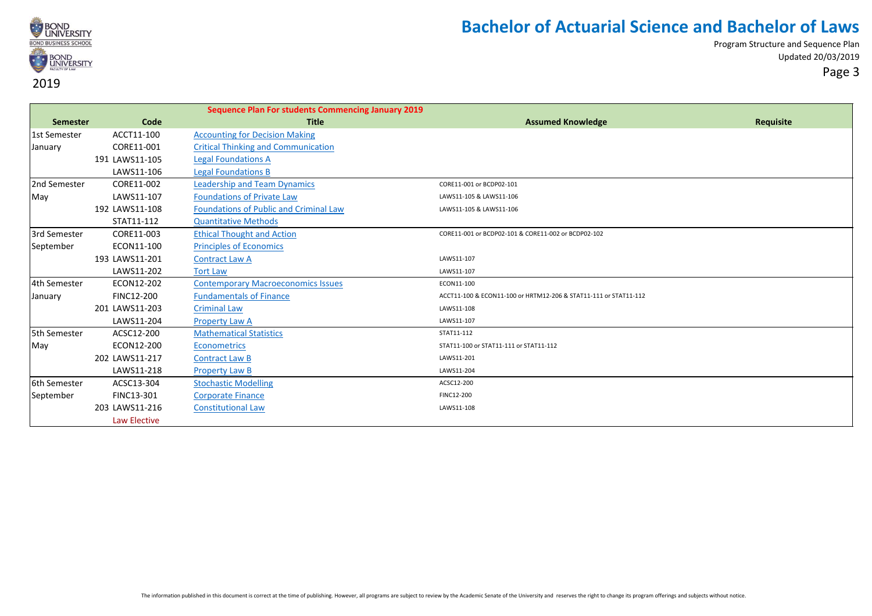

|                 |                | <b>Sequence Plan For students Commencing January 2019</b> |                                                                  |           |
|-----------------|----------------|-----------------------------------------------------------|------------------------------------------------------------------|-----------|
| <b>Semester</b> | Code           | <b>Title</b>                                              | <b>Assumed Knowledge</b>                                         | Requisite |
| 1st Semester    | ACCT11-100     | <b>Accounting for Decision Making</b>                     |                                                                  |           |
| January         | CORE11-001     | <b>Critical Thinking and Communication</b>                |                                                                  |           |
|                 | 191 LAWS11-105 | <b>Legal Foundations A</b>                                |                                                                  |           |
|                 | LAWS11-106     | <b>Legal Foundations B</b>                                |                                                                  |           |
| 2nd Semester    | CORE11-002     | <b>Leadership and Team Dynamics</b>                       | CORE11-001 or BCDP02-101                                         |           |
| May             | LAWS11-107     | <b>Foundations of Private Law</b>                         | LAWS11-105 & LAWS11-106                                          |           |
|                 | 192 LAWS11-108 | <b>Foundations of Public and Criminal Law</b>             | LAWS11-105 & LAWS11-106                                          |           |
|                 | STAT11-112     | <b>Quantitative Methods</b>                               |                                                                  |           |
| 3rd Semester    | CORE11-003     | <b>Ethical Thought and Action</b>                         | CORE11-001 or BCDP02-101 & CORE11-002 or BCDP02-102              |           |
| September       | ECON11-100     | <b>Principles of Economics</b>                            |                                                                  |           |
|                 | 193 LAWS11-201 | <b>Contract Law A</b>                                     | LAWS11-107                                                       |           |
|                 | LAWS11-202     | <b>Tort Law</b>                                           | LAWS11-107                                                       |           |
| 4th Semester    | ECON12-202     | <b>Contemporary Macroeconomics Issues</b>                 | ECON11-100                                                       |           |
| January         | FINC12-200     | <b>Fundamentals of Finance</b>                            | ACCT11-100 & ECON11-100 or HRTM12-206 & STAT11-111 or STAT11-112 |           |
|                 | 201 LAWS11-203 | <b>Criminal Law</b>                                       | LAWS11-108                                                       |           |
|                 | LAWS11-204     | <b>Property Law A</b>                                     | LAWS11-107                                                       |           |
| 5th Semester    | ACSC12-200     | <b>Mathematical Statistics</b>                            | STAT11-112                                                       |           |
| May             | ECON12-200     | <b>Econometrics</b>                                       | STAT11-100 or STAT11-111 or STAT11-112                           |           |
|                 | 202 LAWS11-217 | <b>Contract Law B</b>                                     | LAWS11-201                                                       |           |
|                 | LAWS11-218     | <b>Property Law B</b>                                     | LAWS11-204                                                       |           |
| 6th Semester    | ACSC13-304     | <b>Stochastic Modelling</b>                               | ACSC12-200                                                       |           |
| September       | FINC13-301     | <b>Corporate Finance</b>                                  | FINC12-200                                                       |           |
|                 | 203 LAWS11-216 | <b>Constitutional Law</b>                                 | LAWS11-108                                                       |           |
|                 | Law Elective   |                                                           |                                                                  |           |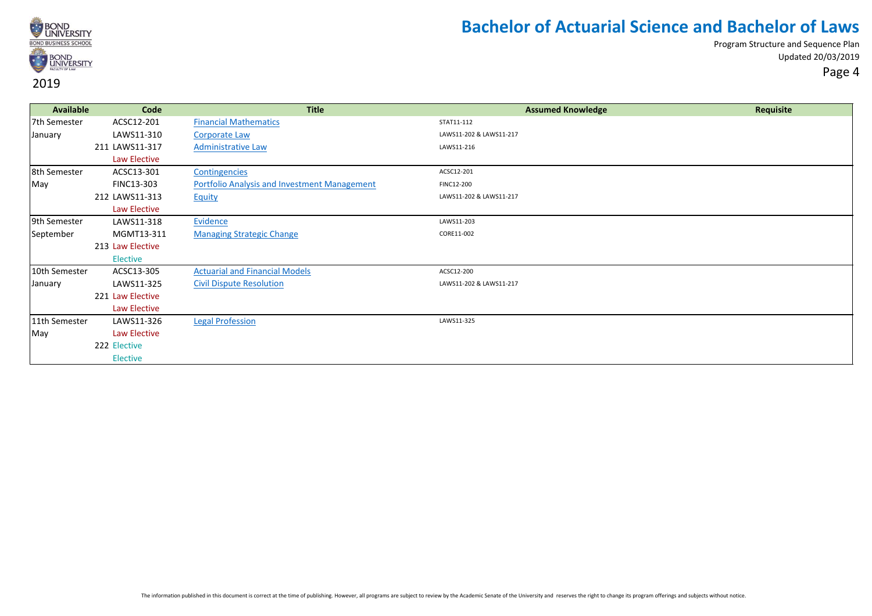

| Available     | Code             | <b>Title</b>                                        | <b>Assumed Knowledge</b> | Requisite |
|---------------|------------------|-----------------------------------------------------|--------------------------|-----------|
| 7th Semester  | ACSC12-201       | <b>Financial Mathematics</b>                        | STAT11-112               |           |
| January       | LAWS11-310       | <b>Corporate Law</b>                                | LAWS11-202 & LAWS11-217  |           |
|               | 211 LAWS11-317   | <b>Administrative Law</b>                           | LAWS11-216               |           |
|               | Law Elective     |                                                     |                          |           |
| 8th Semester  | ACSC13-301       | Contingencies                                       | ACSC12-201               |           |
| May           | FINC13-303       | <b>Portfolio Analysis and Investment Management</b> | FINC12-200               |           |
|               | 212 LAWS11-313   | <b>Equity</b>                                       | LAWS11-202 & LAWS11-217  |           |
|               | Law Elective     |                                                     |                          |           |
| 9th Semester  | LAWS11-318       | Evidence                                            | LAWS11-203               |           |
| September     | MGMT13-311       | <b>Managing Strategic Change</b>                    | CORE11-002               |           |
|               | 213 Law Elective |                                                     |                          |           |
|               | Elective         |                                                     |                          |           |
| 10th Semester | ACSC13-305       | <b>Actuarial and Financial Models</b>               | ACSC12-200               |           |
| January       | LAWS11-325       | <b>Civil Dispute Resolution</b>                     | LAWS11-202 & LAWS11-217  |           |
|               | 221 Law Elective |                                                     |                          |           |
|               | Law Elective     |                                                     |                          |           |
| 11th Semester | LAWS11-326       | <b>Legal Profession</b>                             | LAWS11-325               |           |
| May           | Law Elective     |                                                     |                          |           |
|               | 222 Elective     |                                                     |                          |           |
|               | Elective         |                                                     |                          |           |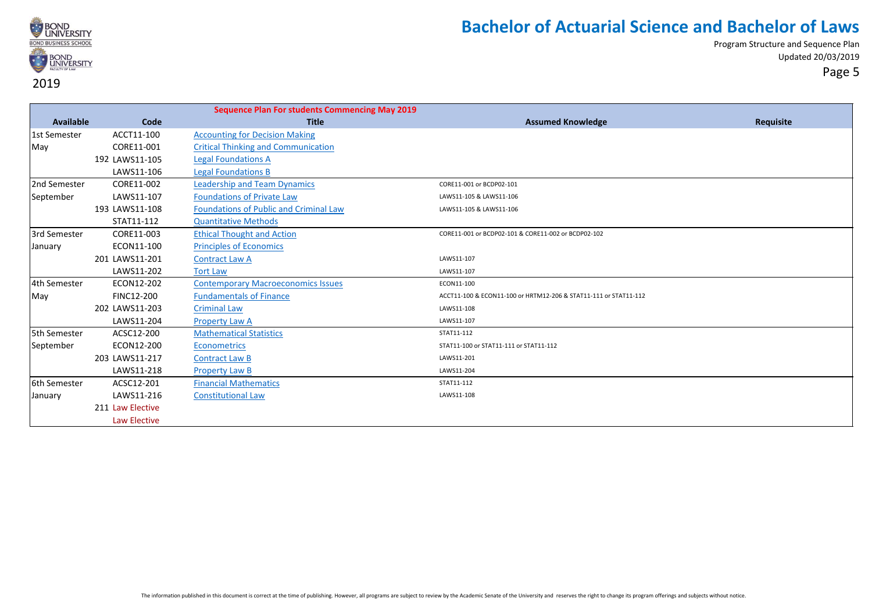

|                  |                  | <b>Sequence Plan For students Commencing May 2019</b> |                                                                  |           |
|------------------|------------------|-------------------------------------------------------|------------------------------------------------------------------|-----------|
| <b>Available</b> | Code             | <b>Title</b>                                          | <b>Assumed Knowledge</b>                                         | Requisite |
| 1st Semester     | ACCT11-100       | <b>Accounting for Decision Making</b>                 |                                                                  |           |
| May              | CORE11-001       | <b>Critical Thinking and Communication</b>            |                                                                  |           |
|                  | 192 LAWS11-105   | <b>Legal Foundations A</b>                            |                                                                  |           |
|                  | LAWS11-106       | <b>Legal Foundations B</b>                            |                                                                  |           |
| 2nd Semester     | CORE11-002       | <b>Leadership and Team Dynamics</b>                   | CORE11-001 or BCDP02-101                                         |           |
| September        | LAWS11-107       | <b>Foundations of Private Law</b>                     | LAWS11-105 & LAWS11-106                                          |           |
|                  | 193 LAWS11-108   | Foundations of Public and Criminal Law                | LAWS11-105 & LAWS11-106                                          |           |
|                  | STAT11-112       | <b>Quantitative Methods</b>                           |                                                                  |           |
| 3rd Semester     | CORE11-003       | <b>Ethical Thought and Action</b>                     | CORE11-001 or BCDP02-101 & CORE11-002 or BCDP02-102              |           |
| January          | ECON11-100       | <b>Principles of Economics</b>                        |                                                                  |           |
|                  | 201 LAWS11-201   | <b>Contract Law A</b>                                 | LAWS11-107                                                       |           |
|                  | LAWS11-202       | <b>Tort Law</b>                                       | LAWS11-107                                                       |           |
| 4th Semester     | ECON12-202       | <b>Contemporary Macroeconomics Issues</b>             | ECON11-100                                                       |           |
| May              | FINC12-200       | <b>Fundamentals of Finance</b>                        | ACCT11-100 & ECON11-100 or HRTM12-206 & STAT11-111 or STAT11-112 |           |
|                  | 202 LAWS11-203   | <b>Criminal Law</b>                                   | LAWS11-108                                                       |           |
|                  | LAWS11-204       | <b>Property Law A</b>                                 | LAWS11-107                                                       |           |
| 5th Semester     | ACSC12-200       | <b>Mathematical Statistics</b>                        | STAT11-112                                                       |           |
| September        | ECON12-200       | Econometrics                                          | STAT11-100 or STAT11-111 or STAT11-112                           |           |
|                  | 203 LAWS11-217   | <b>Contract Law B</b>                                 | LAWS11-201                                                       |           |
|                  | LAWS11-218       | <b>Property Law B</b>                                 | LAWS11-204                                                       |           |
| 6th Semester     | ACSC12-201       | <b>Financial Mathematics</b>                          | STAT11-112                                                       |           |
| January          | LAWS11-216       | <b>Constitutional Law</b>                             | LAWS11-108                                                       |           |
|                  | 211 Law Elective |                                                       |                                                                  |           |
|                  | Law Elective     |                                                       |                                                                  |           |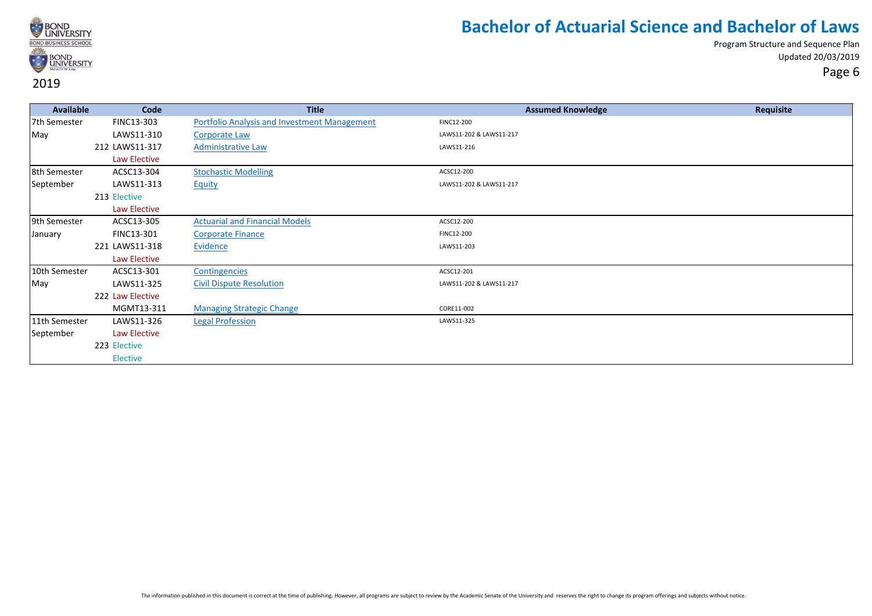

| Available     | Code             | <b>Title</b>                                        | <b>Assumed Knowledge</b> | Requisite |
|---------------|------------------|-----------------------------------------------------|--------------------------|-----------|
| 7th Semester  | FINC13-303       | <b>Portfolio Analysis and Investment Management</b> | FINC12-200               |           |
| May           | LAWS11-310       | <b>Corporate Law</b>                                | LAWS11-202 & LAWS11-217  |           |
|               | 212 LAWS11-317   | <b>Administrative Law</b>                           | LAWS11-216               |           |
|               | Law Elective     |                                                     |                          |           |
| 8th Semester  | ACSC13-304       | <b>Stochastic Modelling</b>                         | ACSC12-200               |           |
| September     | LAWS11-313       | Equity                                              | LAWS11-202 & LAWS11-217  |           |
|               | 213 Elective     |                                                     |                          |           |
|               | Law Elective     |                                                     |                          |           |
| 9th Semester  | ACSC13-305       | <b>Actuarial and Financial Models</b>               | ACSC12-200               |           |
| January       | FINC13-301       | <b>Corporate Finance</b>                            | FINC12-200               |           |
|               | 221 LAWS11-318   | Evidence                                            | LAWS11-203               |           |
|               | Law Elective     |                                                     |                          |           |
| 10th Semester | ACSC13-301       | Contingencies                                       | ACSC12-201               |           |
| May           | LAWS11-325       | <b>Civil Dispute Resolution</b>                     | LAWS11-202 & LAWS11-217  |           |
|               | 222 Law Elective |                                                     |                          |           |
|               | MGMT13-311       | <b>Managing Strategic Change</b>                    | CORE11-002               |           |
| 11th Semester | LAWS11-326       | <b>Legal Profession</b>                             | LAWS11-325               |           |
| September     | Law Elective     |                                                     |                          |           |
|               | 223 Elective     |                                                     |                          |           |
|               | Elective         |                                                     |                          |           |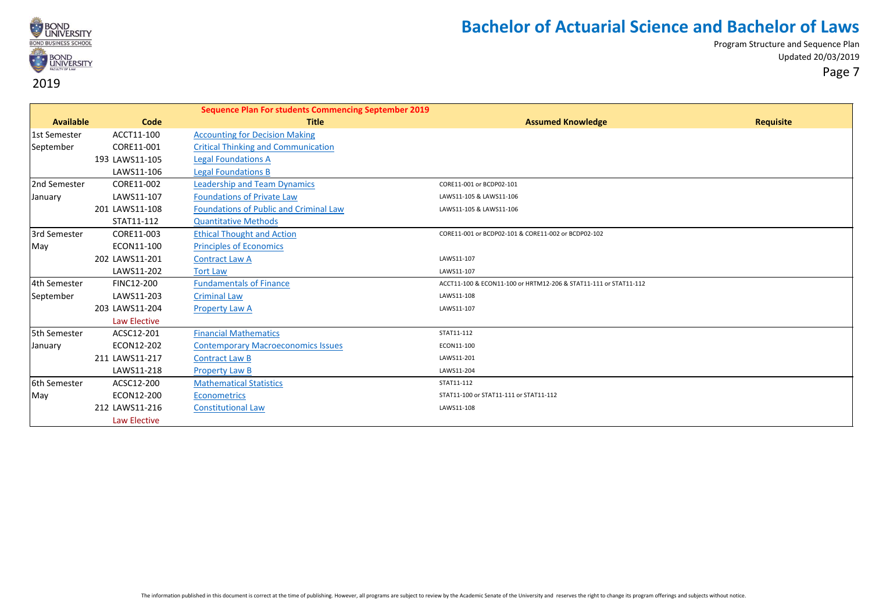

|                  |                | <b>Sequence Plan For students Commencing September 2019</b> |                                                                  |                  |
|------------------|----------------|-------------------------------------------------------------|------------------------------------------------------------------|------------------|
| <b>Available</b> | Code           | <b>Title</b>                                                | <b>Assumed Knowledge</b>                                         | <b>Requisite</b> |
| 1st Semester     | ACCT11-100     | <b>Accounting for Decision Making</b>                       |                                                                  |                  |
| September        | CORE11-001     | <b>Critical Thinking and Communication</b>                  |                                                                  |                  |
|                  | 193 LAWS11-105 | <b>Legal Foundations A</b>                                  |                                                                  |                  |
|                  | LAWS11-106     | <b>Legal Foundations B</b>                                  |                                                                  |                  |
| 2nd Semester     | CORE11-002     | <b>Leadership and Team Dynamics</b>                         | CORE11-001 or BCDP02-101                                         |                  |
| January          | LAWS11-107     | <b>Foundations of Private Law</b>                           | LAWS11-105 & LAWS11-106                                          |                  |
|                  | 201 LAWS11-108 | <b>Foundations of Public and Criminal Law</b>               | LAWS11-105 & LAWS11-106                                          |                  |
|                  | STAT11-112     | <b>Quantitative Methods</b>                                 |                                                                  |                  |
| 3rd Semester     | CORE11-003     | <b>Ethical Thought and Action</b>                           | CORE11-001 or BCDP02-101 & CORE11-002 or BCDP02-102              |                  |
| May              | ECON11-100     | <b>Principles of Economics</b>                              |                                                                  |                  |
|                  | 202 LAWS11-201 | <b>Contract Law A</b>                                       | LAWS11-107                                                       |                  |
|                  | LAWS11-202     | <b>Tort Law</b>                                             | LAWS11-107                                                       |                  |
| 4th Semester     | FINC12-200     | <b>Fundamentals of Finance</b>                              | ACCT11-100 & ECON11-100 or HRTM12-206 & STAT11-111 or STAT11-112 |                  |
| September        | LAWS11-203     | <b>Criminal Law</b>                                         | LAWS11-108                                                       |                  |
|                  | 203 LAWS11-204 | <b>Property Law A</b>                                       | LAWS11-107                                                       |                  |
|                  | Law Elective   |                                                             |                                                                  |                  |
| 5th Semester     | ACSC12-201     | <b>Financial Mathematics</b>                                | STAT11-112                                                       |                  |
| January          | ECON12-202     | <b>Contemporary Macroeconomics Issues</b>                   | ECON11-100                                                       |                  |
|                  | 211 LAWS11-217 | <b>Contract Law B</b>                                       | LAWS11-201                                                       |                  |
|                  | LAWS11-218     | <b>Property Law B</b>                                       | LAWS11-204                                                       |                  |
| 6th Semester     | ACSC12-200     | <b>Mathematical Statistics</b>                              | STAT11-112                                                       |                  |
| May              | ECON12-200     | <b>Econometrics</b>                                         | STAT11-100 or STAT11-111 or STAT11-112                           |                  |
|                  | 212 LAWS11-216 | <b>Constitutional Law</b>                                   | LAWS11-108                                                       |                  |
|                  | Law Elective   |                                                             |                                                                  |                  |